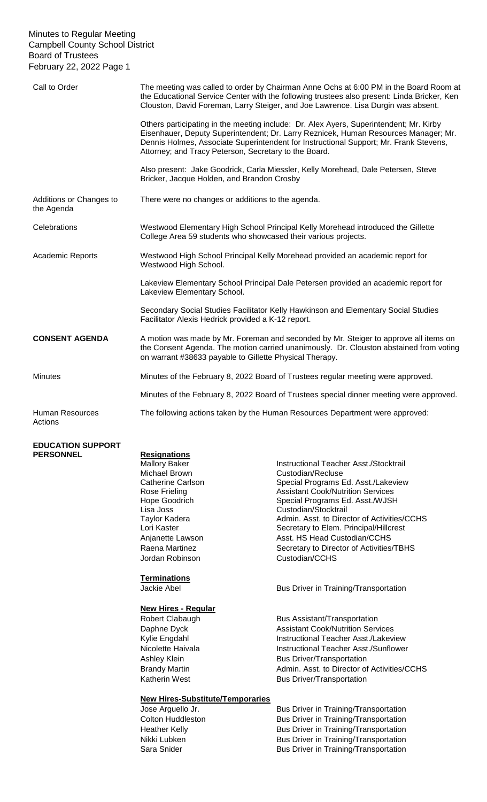| Call to Order                         | The meeting was called to order by Chairman Anne Ochs at 6:00 PM in the Board Room at<br>the Educational Service Center with the following trustees also present: Linda Bricker, Ken<br>Clouston, David Foreman, Larry Steiger, and Joe Lawrence. Lisa Durgin was absent.                                                       |  |
|---------------------------------------|---------------------------------------------------------------------------------------------------------------------------------------------------------------------------------------------------------------------------------------------------------------------------------------------------------------------------------|--|
|                                       | Others participating in the meeting include: Dr. Alex Ayers, Superintendent; Mr. Kirby<br>Eisenhauer, Deputy Superintendent; Dr. Larry Reznicek, Human Resources Manager; Mr.<br>Dennis Holmes, Associate Superintendent for Instructional Support; Mr. Frank Stevens,<br>Attorney; and Tracy Peterson, Secretary to the Board. |  |
|                                       | Also present: Jake Goodrick, Carla Miessler, Kelly Morehead, Dale Petersen, Steve<br>Bricker, Jacque Holden, and Brandon Crosby                                                                                                                                                                                                 |  |
| Additions or Changes to<br>the Agenda | There were no changes or additions to the agenda.                                                                                                                                                                                                                                                                               |  |
| Celebrations                          | Westwood Elementary High School Principal Kelly Morehead introduced the Gillette<br>College Area 59 students who showcased their various projects.                                                                                                                                                                              |  |
| <b>Academic Reports</b>               | Westwood High School Principal Kelly Morehead provided an academic report for<br>Westwood High School.                                                                                                                                                                                                                          |  |
|                                       | Lakeview Elementary School Principal Dale Petersen provided an academic report for<br>Lakeview Elementary School.                                                                                                                                                                                                               |  |
|                                       | Secondary Social Studies Facilitator Kelly Hawkinson and Elementary Social Studies<br>Facilitator Alexis Hedrick provided a K-12 report.                                                                                                                                                                                        |  |
| <b>CONSENT AGENDA</b>                 | A motion was made by Mr. Foreman and seconded by Mr. Steiger to approve all items on<br>the Consent Agenda. The motion carried unanimously. Dr. Clouston abstained from voting<br>on warrant #38633 payable to Gillette Physical Therapy.                                                                                       |  |
| <b>Minutes</b>                        | Minutes of the February 8, 2022 Board of Trustees regular meeting were approved.                                                                                                                                                                                                                                                |  |
|                                       | Minutes of the February 8, 2022 Board of Trustees special dinner meeting were approved.                                                                                                                                                                                                                                         |  |
| <b>Human Resources</b>                | The following actions taken by the Human Resources Department were approved:                                                                                                                                                                                                                                                    |  |

# **EDUCATION SUPPORT PERSONNEL**

Actions

| <b>Resignations</b>  |  |
|----------------------|--|
| <b>Mallory Baker</b> |  |
| Michael Brown        |  |
| Catherine Carlson    |  |
| Rose Frieling        |  |
| <b>Hope Goodrich</b> |  |
| Lisa Joss            |  |
| Taylor Kadera        |  |
| Lori Kaster          |  |
| Anjanette Lawson     |  |
| Raena Martinez       |  |
| Jordan Robinson      |  |

# **Terminations**

# **New Hires - Regular**

# **New Hires-Substitute/Temporaries**

Instructional Teacher Asst./Stocktrail Custodian/Recluse Special Programs Ed. Asst./Lakeview **Assistant Cook/Nutrition Services** Special Programs Ed. Asst./WJSH Custodian/Stocktrail Admin. Asst. to Director of Activities/CCHS Secretary to Elem. Principal/Hillcrest Asst. HS Head Custodian/CCHS Secretary to Director of Activities/TBHS Custodian/CCHS

Jackie Abel **Bus Driver in Training/Transportation** 

Robert Clabaugh Bus Assistant/Transportation Daphne Dyck **Assistant Cook/Nutrition Services** Kylie Engdahl **Instructional Teacher Asst./Lakeview** Nicolette Haivala **Instructional Teacher Asst./Sunflower** Ashley Klein **Bus Driver/Transportation** Brandy Martin **Admin.** Asst. to Director of Activities/CCHS Katherin West **Bus Driver/Transportation** 

Jose Arguello Jr. **Bus Driver in Training/Transportation** Colton Huddleston Bus Driver in Training/Transportation Heather Kelly **Bus Driver in Training/Transportation** Nikki Lubken **Bus Driver in Training/Transportation** Sara Snider **Bus Driver in Training/Transportation**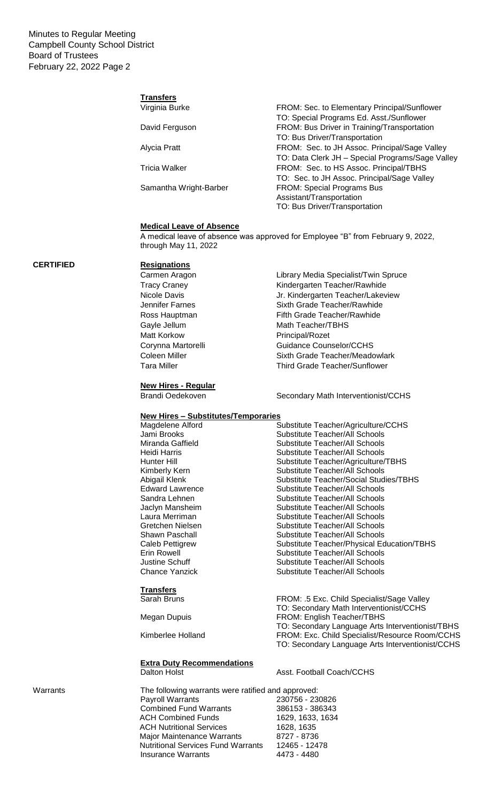#### **Transfers** Virginia Burke FROM: Sec. to Elementary Principal/Sunflower

|                        | TO: Special Programs Ed. Asst./Sunflower         |
|------------------------|--------------------------------------------------|
| David Ferguson         | FROM: Bus Driver in Training/Transportation      |
|                        | TO: Bus Driver/Transportation                    |
| Alycia Pratt           | FROM: Sec. to JH Assoc. Principal/Sage Valley    |
|                        | TO: Data Clerk JH - Special Programs/Sage Valley |
| Tricia Walker          | FROM: Sec. to HS Assoc. Principal/TBHS           |
|                        | TO: Sec. to JH Assoc. Principal/Sage Valley      |
| Samantha Wright-Barber | <b>FROM: Special Programs Bus</b>                |
|                        | Assistant/Transportation                         |
|                        | TO: Bus Driver/Transportation                    |

#### **Medical Leave of Absence**

A medical leave of absence was approved for Employee "B" from February 9, 2022, through May 11, 2022

# **CERTIFIED Resignations**

Carmen Aragon **Library Media Specialist/Twin Spruce** Tracy Craney **Kindergarten Teacher/Rawhide** Nicole Davis Jr. Kindergarten Teacher/Lakeview Jennifer Farnes Sixth Grade Teacher/Rawhide Matt Korkow **Principal/Rozet** 

# **New Hires - Regular**

**Transfers**

**Extra Duty Recommendations**

Ross Hauptman Fifth Grade Teacher/Rawhide Gayle Jellum Math Teacher/TBHS Corynna Martorelli Guidance Counselor/CCHS Coleen Miller Sixth Grade Teacher/Meadowlark Tara Miller Tara Miller Third Grade Teacher/Sunflower

Brandi Oedekoven Secondary Math Interventionist/CCHS

### **New Hires – Substitutes/Temporaries**

| Magdelene Alford       | Substitute Teacher/Agriculture/CCHS        |
|------------------------|--------------------------------------------|
| Jami Brooks            | Substitute Teacher/All Schools             |
| Miranda Gaffield       | Substitute Teacher/All Schools             |
| Heidi Harris           | Substitute Teacher/All Schools             |
| Hunter Hill            | Substitute Teacher/Agriculture/TBHS        |
| Kimberly Kern          | <b>Substitute Teacher/All Schools</b>      |
| Abigail Klenk          | Substitute Teacher/Social Studies/TBHS     |
| <b>Edward Lawrence</b> | Substitute Teacher/All Schools             |
| Sandra Lehnen          | Substitute Teacher/All Schools             |
| Jaclyn Mansheim        | Substitute Teacher/All Schools             |
| Laura Merriman         | Substitute Teacher/All Schools             |
| Gretchen Nielsen       | Substitute Teacher/All Schools             |
| Shawn Paschall         | Substitute Teacher/All Schools             |
| Caleb Pettigrew        | Substitute Teacher/Physical Education/TBHS |
| Erin Rowell            | Substitute Teacher/All Schools             |
| Justine Schuff         | Substitute Teacher/All Schools             |
| Chance Yanzick         | Substitute Teacher/All Schools             |
|                        |                                            |

FROM: .5 Exc. Child Specialist/Sage Valley TO: Secondary Math Interventionist/CCHS Megan Dupuis FROM: English Teacher/TBHS TO: Secondary Language Arts Interventionist/TBHS Kimberlee Holland FROM: Exc. Child Specialist/Resource Room/CCHS TO: Secondary Language Arts Interventionist/CCHS

Dalton Holst **Asst. Football Coach/CCHS** 

Warrants The following warrants were ratified and approved:<br>Payroll Warrants 230756 - 23 230756 - 230826<br>386153 - 386343 Combined Fund Warrants ACH Combined Funds<br>
ACH Nutritional Services<br>
1628, 1635 ACH Nutritional Services<br>
Maior Maintenance Warrants 8727 - 8736 Major Maintenance Warrants Nutritional Services Fund Warrants 12465 - 12478 Insurance Warrants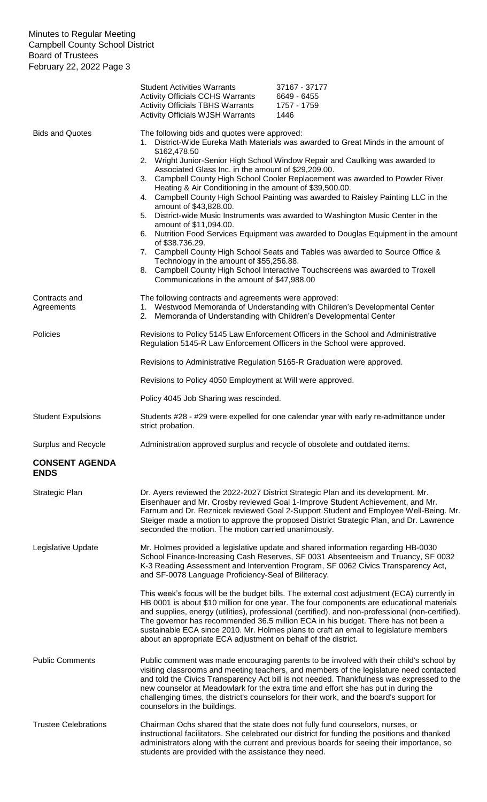|                                      | <b>Student Activities Warrants</b><br><b>Activity Officials CCHS Warrants</b><br><b>Activity Officials TBHS Warrants</b><br><b>Activity Officials WJSH Warrants</b>                                                                                                                                                                               | 37167 - 37177<br>6649 - 6455<br>1757 - 1759<br>1446                                                                                                                                                                                                                                                                                                                                                                                                                                                                                                                                                                                                                                       |
|--------------------------------------|---------------------------------------------------------------------------------------------------------------------------------------------------------------------------------------------------------------------------------------------------------------------------------------------------------------------------------------------------|-------------------------------------------------------------------------------------------------------------------------------------------------------------------------------------------------------------------------------------------------------------------------------------------------------------------------------------------------------------------------------------------------------------------------------------------------------------------------------------------------------------------------------------------------------------------------------------------------------------------------------------------------------------------------------------------|
| <b>Bids and Quotes</b>               | The following bids and quotes were approved:<br>\$162,478.50<br>Associated Glass Inc. in the amount of \$29,209.00.<br>Heating & Air Conditioning in the amount of \$39,500.00.<br>amount of \$43,828.00.<br>amount of \$11,094.00.<br>of \$38.736.29.<br>Technology in the amount of \$55,256.88.<br>Communications in the amount of \$47,988.00 | 1. District-Wide Eureka Math Materials was awarded to Great Minds in the amount of<br>2. Wright Junior-Senior High School Window Repair and Caulking was awarded to<br>3. Campbell County High School Cooler Replacement was awarded to Powder River<br>4. Campbell County High School Painting was awarded to Raisley Painting LLC in the<br>5. District-wide Music Instruments was awarded to Washington Music Center in the<br>6. Nutrition Food Services Equipment was awarded to Douglas Equipment in the amount<br>7. Campbell County High School Seats and Tables was awarded to Source Office &<br>8. Campbell County High School Interactive Touchscreens was awarded to Troxell |
| Contracts and<br>Agreements          | The following contracts and agreements were approved:<br>2. Memoranda of Understanding with Children's Developmental Center                                                                                                                                                                                                                       | 1. Westwood Memoranda of Understanding with Children's Developmental Center                                                                                                                                                                                                                                                                                                                                                                                                                                                                                                                                                                                                               |
| Policies                             | Regulation 5145-R Law Enforcement Officers in the School were approved.<br>Revisions to Administrative Regulation 5165-R Graduation were approved.                                                                                                                                                                                                | Revisions to Policy 5145 Law Enforcement Officers in the School and Administrative                                                                                                                                                                                                                                                                                                                                                                                                                                                                                                                                                                                                        |
|                                      | Revisions to Policy 4050 Employment at Will were approved.                                                                                                                                                                                                                                                                                        |                                                                                                                                                                                                                                                                                                                                                                                                                                                                                                                                                                                                                                                                                           |
|                                      |                                                                                                                                                                                                                                                                                                                                                   |                                                                                                                                                                                                                                                                                                                                                                                                                                                                                                                                                                                                                                                                                           |
|                                      | Policy 4045 Job Sharing was rescinded.                                                                                                                                                                                                                                                                                                            |                                                                                                                                                                                                                                                                                                                                                                                                                                                                                                                                                                                                                                                                                           |
| <b>Student Expulsions</b>            | strict probation.                                                                                                                                                                                                                                                                                                                                 | Students #28 - #29 were expelled for one calendar year with early re-admittance under                                                                                                                                                                                                                                                                                                                                                                                                                                                                                                                                                                                                     |
| Surplus and Recycle                  |                                                                                                                                                                                                                                                                                                                                                   | Administration approved surplus and recycle of obsolete and outdated items.                                                                                                                                                                                                                                                                                                                                                                                                                                                                                                                                                                                                               |
| <b>CONSENT AGENDA</b><br><b>ENDS</b> |                                                                                                                                                                                                                                                                                                                                                   |                                                                                                                                                                                                                                                                                                                                                                                                                                                                                                                                                                                                                                                                                           |
| Strategic Plan                       | seconded the motion. The motion carried unanimously.                                                                                                                                                                                                                                                                                              | Dr. Ayers reviewed the 2022-2027 District Strategic Plan and its development. Mr.<br>Eisenhauer and Mr. Crosby reviewed Goal 1-Improve Student Achievement, and Mr.<br>Farnum and Dr. Reznicek reviewed Goal 2-Support Student and Employee Well-Being. Mr.<br>Steiger made a motion to approve the proposed District Strategic Plan, and Dr. Lawrence                                                                                                                                                                                                                                                                                                                                    |
| Legislative Update                   | and SF-0078 Language Proficiency-Seal of Biliteracy.                                                                                                                                                                                                                                                                                              | Mr. Holmes provided a legislative update and shared information regarding HB-0030<br>School Finance-Increasing Cash Reserves, SF 0031 Absenteeism and Truancy, SF 0032<br>K-3 Reading Assessment and Intervention Program, SF 0062 Civics Transparency Act,                                                                                                                                                                                                                                                                                                                                                                                                                               |
|                                      | about an appropriate ECA adjustment on behalf of the district.                                                                                                                                                                                                                                                                                    | This week's focus will be the budget bills. The external cost adjustment (ECA) currently in<br>HB 0001 is about \$10 million for one year. The four components are educational materials<br>and supplies, energy (utilities), professional (certified), and non-professional (non-certified).<br>The governor has recommended 36.5 million ECA in his budget. There has not been a<br>sustainable ECA since 2010. Mr. Holmes plans to craft an email to legislature members                                                                                                                                                                                                               |
| <b>Public Comments</b>               | counselors in the buildings.                                                                                                                                                                                                                                                                                                                      | Public comment was made encouraging parents to be involved with their child's school by<br>visiting classrooms and meeting teachers, and members of the legislature need contacted<br>and told the Civics Transparency Act bill is not needed. Thankfulness was expressed to the<br>new counselor at Meadowlark for the extra time and effort she has put in during the<br>challenging times, the district's counselors for their work, and the board's support for                                                                                                                                                                                                                       |
| <b>Trustee Celebrations</b>          | students are provided with the assistance they need.                                                                                                                                                                                                                                                                                              | Chairman Ochs shared that the state does not fully fund counselors, nurses, or<br>instructional facilitators. She celebrated our district for funding the positions and thanked<br>administrators along with the current and previous boards for seeing their importance, so                                                                                                                                                                                                                                                                                                                                                                                                              |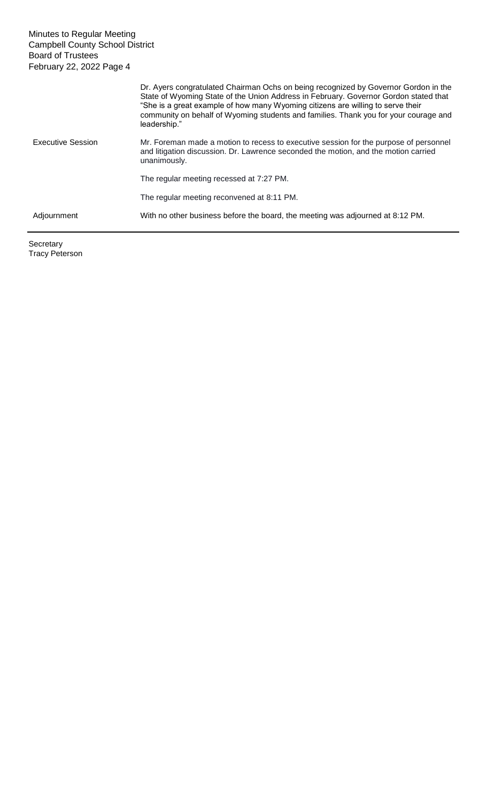|                          | Dr. Ayers congratulated Chairman Ochs on being recognized by Governor Gordon in the<br>State of Wyoming State of the Union Address in February. Governor Gordon stated that<br>"She is a great example of how many Wyoming citizens are willing to serve their<br>community on behalf of Wyoming students and families. Thank you for your courage and<br>leadership." |
|--------------------------|------------------------------------------------------------------------------------------------------------------------------------------------------------------------------------------------------------------------------------------------------------------------------------------------------------------------------------------------------------------------|
| <b>Executive Session</b> | Mr. Foreman made a motion to recess to executive session for the purpose of personnel<br>and litigation discussion. Dr. Lawrence seconded the motion, and the motion carried<br>unanimously.                                                                                                                                                                           |
|                          | The regular meeting recessed at 7:27 PM.                                                                                                                                                                                                                                                                                                                               |
|                          | The regular meeting reconvened at 8:11 PM.                                                                                                                                                                                                                                                                                                                             |
| Adjournment              | With no other business before the board, the meeting was adjourned at 8:12 PM.                                                                                                                                                                                                                                                                                         |

Secretary Tracy Peterson